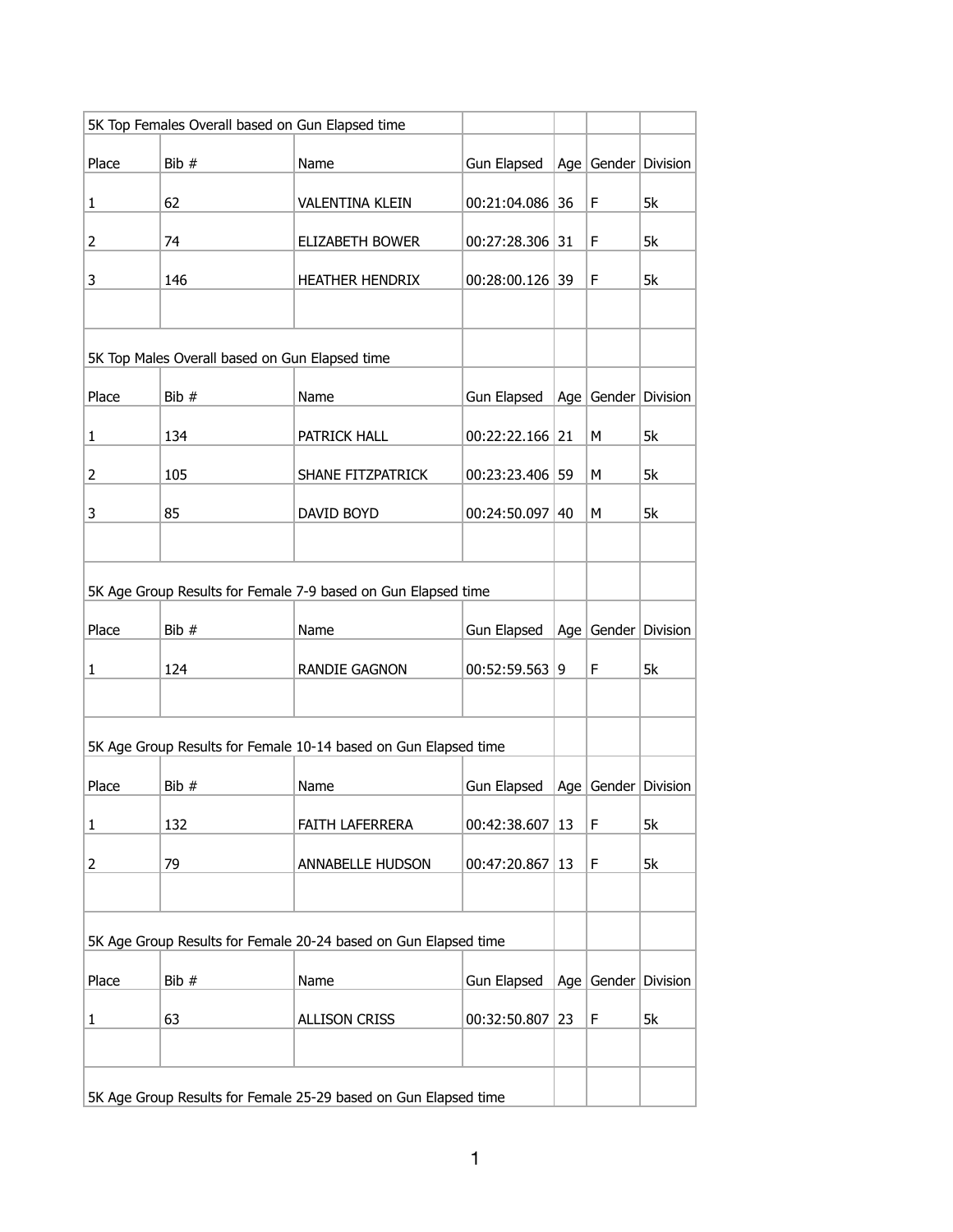| 5K Top Females Overall based on Gun Elapsed time                |                                                               |                                                                 |                   |    |   |                         |
|-----------------------------------------------------------------|---------------------------------------------------------------|-----------------------------------------------------------------|-------------------|----|---|-------------------------|
| Place                                                           | Bib #                                                         | Name                                                            | Gun Elapsed       |    |   | Age Gender Division     |
| 1                                                               | 62                                                            | <b>VALENTINA KLEIN</b>                                          | 00:21:04.086 36   |    | F | 5k                      |
| 2                                                               | 74                                                            | ELIZABETH BOWER                                                 | 00:27:28.306 31   |    | F | 5k                      |
| 3                                                               | 146                                                           | <b>HEATHER HENDRIX</b>                                          | 00:28:00.126 39   |    | F | 5k                      |
|                                                                 |                                                               |                                                                 |                   |    |   |                         |
|                                                                 | 5K Top Males Overall based on Gun Elapsed time                |                                                                 |                   |    |   |                         |
| Place                                                           | Bib #<br>Age Gender Division<br>Name<br>Gun Elapsed           |                                                                 |                   |    |   |                         |
| 1                                                               | 134                                                           | PATRICK HALL                                                    | $00:22:22.166$ 21 |    | M | 5k                      |
| 2                                                               | 105                                                           | SHANE FITZPATRICK                                               | 00:23:23.406 59   |    | M | 5k                      |
| 3                                                               | 85                                                            | DAVID BOYD                                                      | $00:24:50.097$ 40 |    | М | 5k                      |
|                                                                 |                                                               |                                                                 |                   |    |   |                         |
|                                                                 | 5K Age Group Results for Female 7-9 based on Gun Elapsed time |                                                                 |                   |    |   |                         |
| Place                                                           | Bib #                                                         | Name                                                            | Gun Elapsed       |    |   | Age Gender Division     |
| 1                                                               | 124                                                           | RANDIE GAGNON                                                   | $00:52:59.563$ 9  |    | F | 5k                      |
|                                                                 |                                                               |                                                                 |                   |    |   |                         |
|                                                                 |                                                               | 5K Age Group Results for Female 10-14 based on Gun Elapsed time |                   |    |   |                         |
| Place                                                           | Bib #                                                         | Name                                                            | Gun Elapsed       |    |   | Age   Gender   Division |
| $\mathbf{1}$                                                    | 132                                                           | FAITH LAFERRERA                                                 | 00:42:38.607      | 13 | F | 5k                      |
| 2                                                               | 79                                                            | ANNABELLE HUDSON                                                | 00:47:20.867      | 13 | F | 5k                      |
|                                                                 |                                                               |                                                                 |                   |    |   |                         |
| 5K Age Group Results for Female 20-24 based on Gun Elapsed time |                                                               |                                                                 |                   |    |   |                         |
| Place                                                           | Bib #                                                         | Name                                                            | Gun Elapsed       |    |   | Age   Gender   Division |
| 1                                                               | 63                                                            | <b>ALLISON CRISS</b>                                            | 00:32:50.807      | 23 | F | 5k                      |
|                                                                 |                                                               |                                                                 |                   |    |   |                         |
| 5K Age Group Results for Female 25-29 based on Gun Elapsed time |                                                               |                                                                 |                   |    |   |                         |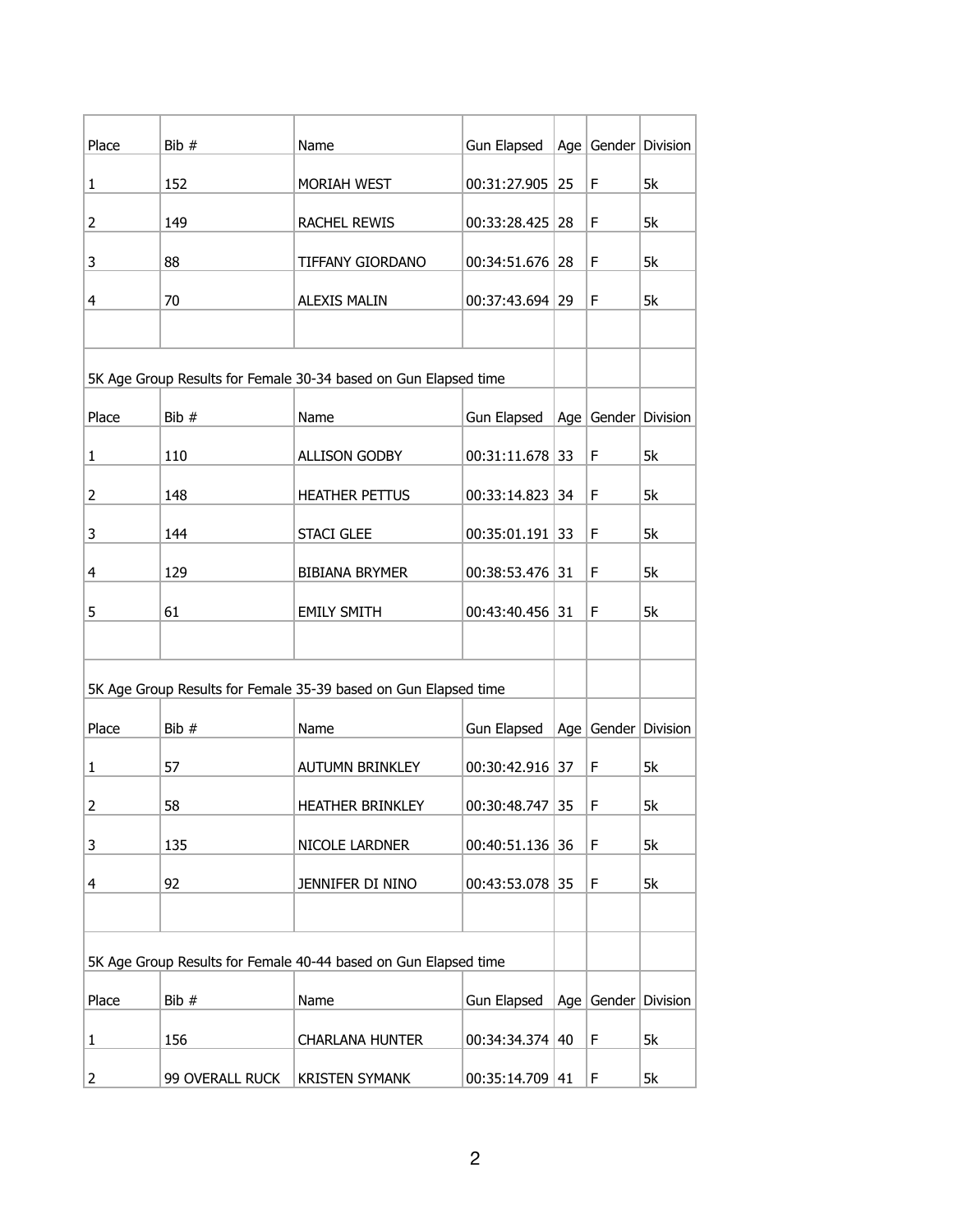| Place                                                           | Bib #           | Name                                                            | Gun Elapsed        |         |        | Age   Gender   Division |
|-----------------------------------------------------------------|-----------------|-----------------------------------------------------------------|--------------------|---------|--------|-------------------------|
| $\mathbf{1}$                                                    | 152             | MORIAH WEST                                                     | 00:31:27.905       | 25      | F      | 5k                      |
|                                                                 |                 |                                                                 |                    |         |        |                         |
| 2                                                               | 149             | RACHEL REWIS                                                    | 00:33:28.425 28    |         | F      | 5k                      |
| 3                                                               | 88              | TIFFANY GIORDANO                                                | 00:34:51.676 28    |         | F      | 5k                      |
| 4                                                               | 70              | <b>ALEXIS MALIN</b>                                             | 00:37:43.694 29    |         | F      | 5k                      |
|                                                                 |                 |                                                                 |                    |         |        |                         |
|                                                                 |                 | 5K Age Group Results for Female 30-34 based on Gun Elapsed time |                    |         |        |                         |
| Place                                                           | Bib #           | Name                                                            | Gun Elapsed        |         |        | Age   Gender   Division |
| 1                                                               | 110             | <b>ALLISON GODBY</b>                                            | 00:31:11.678 33    |         | F      | 5k                      |
| 2                                                               | 148             | <b>HEATHER PETTUS</b>                                           | 00:33:14.823       | 34      | F      | 5k                      |
| 3                                                               | 144             | <b>STACI GLEE</b>                                               | $00:35:01.191$ 33  |         | F      | 5k                      |
| 4                                                               | 129             | <b>BIBIANA BRYMER</b>                                           | 00:38:53.476 31    |         | F      | 5k                      |
| 5                                                               | 61              | <b>EMILY SMITH</b>                                              | $00:43:40.456$ 31  |         | F      | 5k                      |
|                                                                 |                 |                                                                 |                    |         |        |                         |
|                                                                 |                 | 5K Age Group Results for Female 35-39 based on Gun Elapsed time |                    |         |        |                         |
| Place                                                           | Bib #           | Name                                                            | Gun Elapsed        |         |        | Age   Gender   Division |
|                                                                 |                 |                                                                 |                    |         |        |                         |
| $\mathbf{1}$                                                    | 57              | <b>AUTUMN BRINKLEY</b>                                          | 00:30:42.916 37    |         | F      | 5k                      |
| 2                                                               | 58              | <b>HEATHER BRINKLEY</b>                                         | 00:30:48.747 35    |         | F      | 5k                      |
| 3                                                               | 135             | NICOLE LARDNER                                                  | 00:40:51.136 36    |         | F      | 5k                      |
| 4                                                               | 92              | JENNIFER DI NINO                                                | 00:43:53.078 35    |         | F      | 5k                      |
|                                                                 |                 |                                                                 |                    |         |        |                         |
| 5K Age Group Results for Female 40-44 based on Gun Elapsed time |                 |                                                                 |                    |         |        |                         |
| Place                                                           | Bib #           | Name                                                            | <b>Gun Elapsed</b> | Age $ $ | Gender | Division                |
| 1                                                               | 156             | <b>CHARLANA HUNTER</b>                                          | 00:34:34.374       | 40      | F      | 5k                      |
| 2                                                               | 99 OVERALL RUCK | <b>KRISTEN SYMANK</b>                                           | 00:35:14.709       | 41      | F      | 5k                      |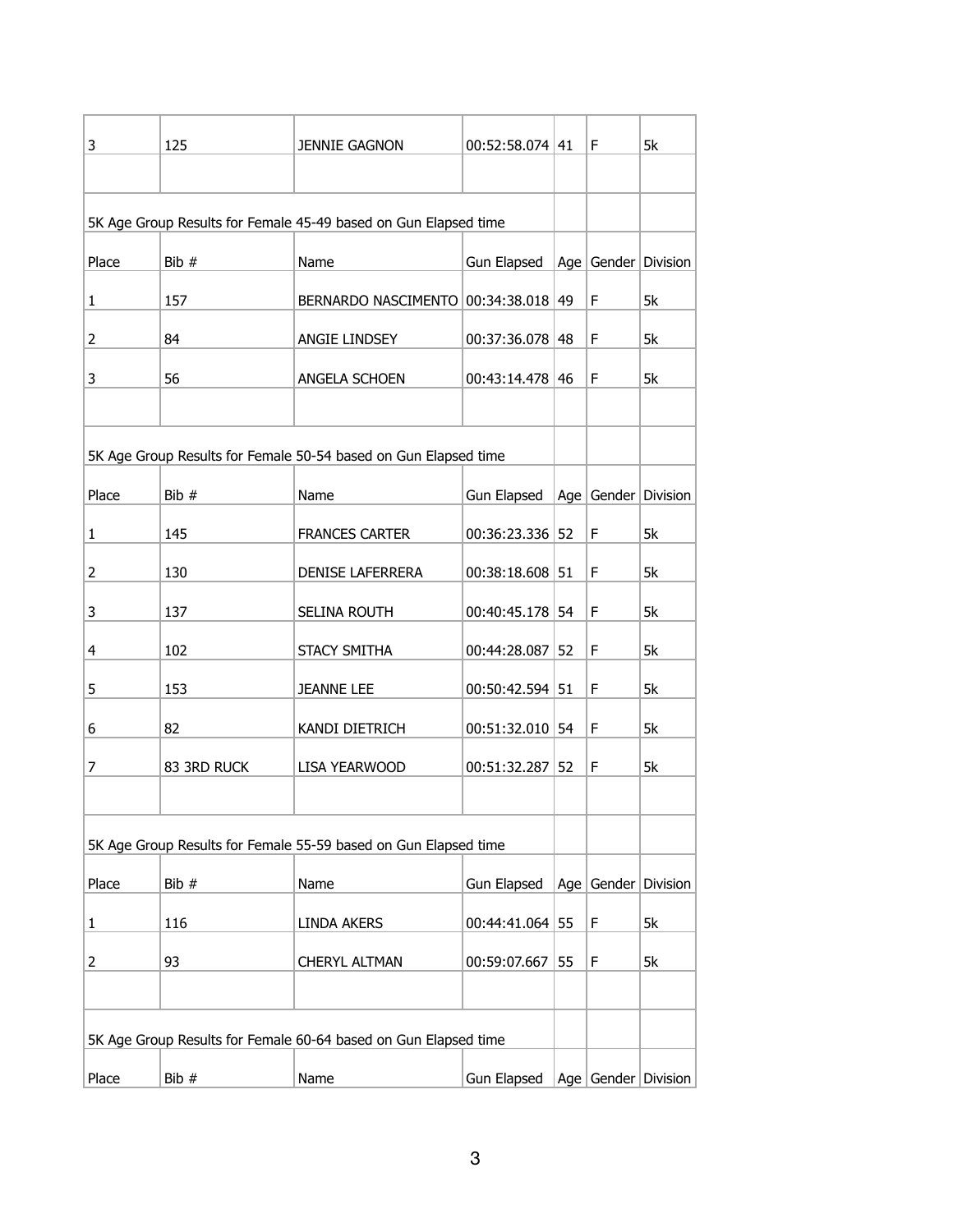| 3                                                               | 125         | <b>JENNIE GAGNON</b>                                            | $00:52:58.074$   41 |    | F. | 5k                      |
|-----------------------------------------------------------------|-------------|-----------------------------------------------------------------|---------------------|----|----|-------------------------|
|                                                                 |             |                                                                 |                     |    |    |                         |
| 5K Age Group Results for Female 45-49 based on Gun Elapsed time |             |                                                                 |                     |    |    |                         |
|                                                                 |             |                                                                 |                     |    |    |                         |
| Place                                                           | Bib $#$     | Name                                                            | Gun Elapsed         |    |    | Age   Gender   Division |
| $\mathbf{1}$                                                    | 157         | BERNARDO NASCIMENTO   00:34:38.018   49                         |                     |    | F  | 5k                      |
| 2                                                               | 84          | ANGIE LINDSEY                                                   | $00:37:36.078$ 48   |    | F  | 5k                      |
| 3                                                               | 56          | ANGELA SCHOEN                                                   | $00:43:14.478$ 46   |    | F  | 5k                      |
|                                                                 |             |                                                                 |                     |    |    |                         |
|                                                                 |             | 5K Age Group Results for Female 50-54 based on Gun Elapsed time |                     |    |    |                         |
| Place                                                           | Bib #       | Name                                                            | Gun Elapsed         |    |    | Age   Gender   Division |
| 1                                                               | 145         | <b>FRANCES CARTER</b>                                           | 00:36:23.336 52     |    | F  | 5k                      |
| 2                                                               | 130         | DENISE LAFERRERA                                                | $00:38:18.608$ 51   |    | F  | 5k                      |
| 3                                                               | 137         | SELINA ROUTH                                                    | $00:40:45.178$ 54   |    | F  | 5k                      |
| 4                                                               | 102         | STACY SMITHA                                                    | 00:44:28.087        | 52 | F  | 5k                      |
| 5                                                               | 153         | <b>JEANNE LEE</b>                                               | $00:50:42.594$ 51   |    | F  | 5k                      |
| 6                                                               | 82          | KANDI DIETRICH                                                  | $00:51:32.010$ 54   |    | F  | 5k                      |
| 7                                                               | 83 3RD RUCK | LISA YEARWOOD                                                   | $00:51:32.287$ 52   |    | F  | 5k                      |
|                                                                 |             |                                                                 |                     |    |    |                         |
|                                                                 |             | 5K Age Group Results for Female 55-59 based on Gun Elapsed time |                     |    |    |                         |
| Place                                                           | Bib #       | Name                                                            | <b>Gun Elapsed</b>  |    |    | Age Gender Division     |
| 1                                                               | 116         | LINDA AKERS                                                     | 00:44:41.064 55     |    | F  | 5k                      |
| 2                                                               | 93          | CHERYL ALTMAN                                                   | 00:59:07.667        | 55 | F  | 5k                      |
|                                                                 |             |                                                                 |                     |    |    |                         |
|                                                                 |             | 5K Age Group Results for Female 60-64 based on Gun Elapsed time |                     |    |    |                         |
|                                                                 |             |                                                                 |                     |    |    |                         |
| Place                                                           | Bib #       | Name                                                            | Gun Elapsed         |    |    | Age   Gender   Division |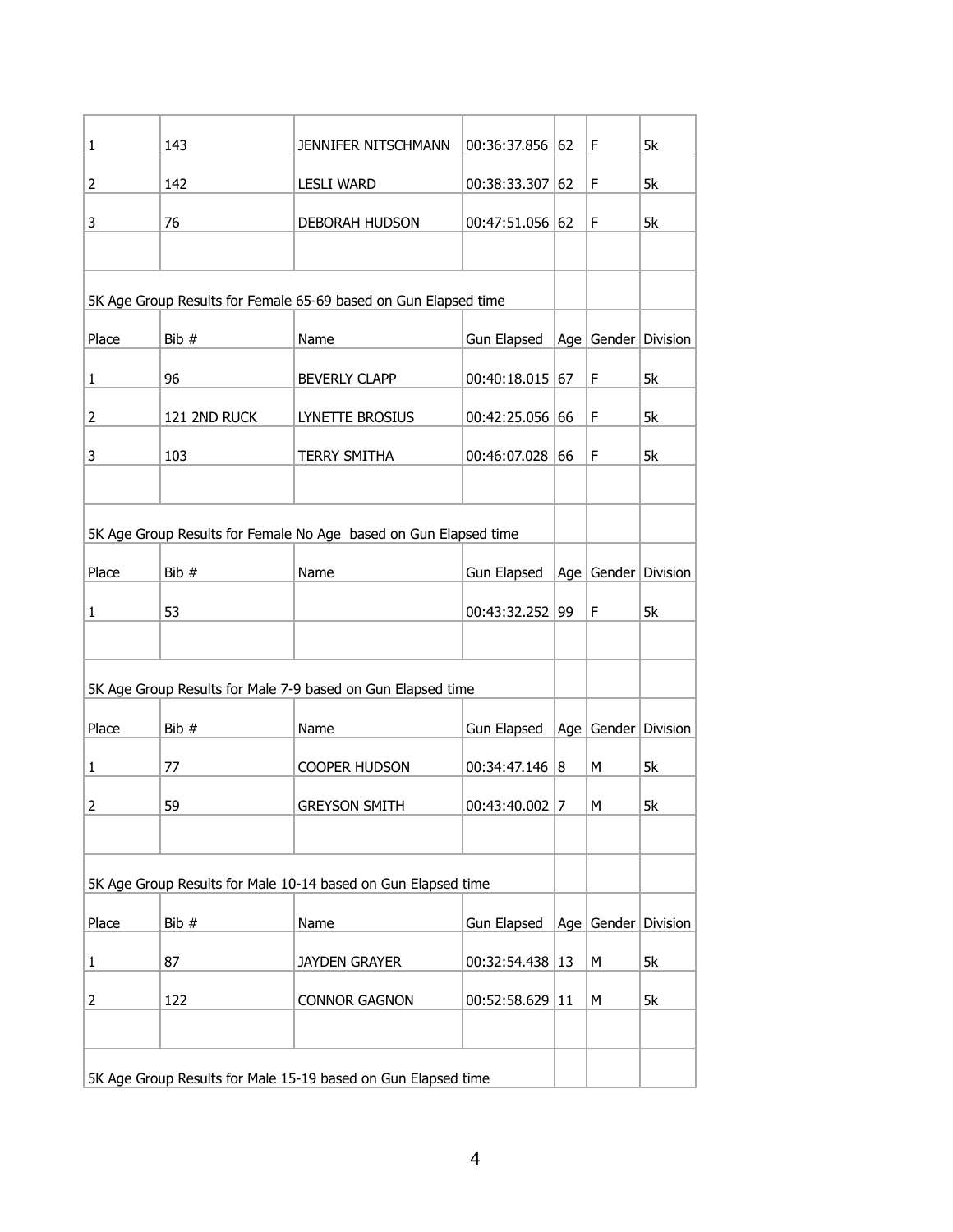| 1                                                                | 143          | JENNIFER NITSCHMANN                                         | 00:36:37.856      | 62      | F      | 5k                      |
|------------------------------------------------------------------|--------------|-------------------------------------------------------------|-------------------|---------|--------|-------------------------|
| 2                                                                | 142          | <b>LESLI WARD</b>                                           | 00:38:33.307      | 62      | F      | 5k                      |
| 3                                                                | 76           | DEBORAH HUDSON                                              | $00:47:51.056$ 62 |         | F      | 5k                      |
|                                                                  |              |                                                             |                   |         |        |                         |
| 5K Age Group Results for Female 65-69 based on Gun Elapsed time  |              |                                                             |                   |         |        |                         |
| Place                                                            | Bib #        | Name                                                        | Gun Elapsed       |         |        | Age   Gender   Division |
| $\mathbf{1}$                                                     | 96           | <b>BEVERLY CLAPP</b>                                        | 00:40:18.015      | 67      | F      | 5k                      |
| 2                                                                | 121 2ND RUCK | <b>LYNETTE BROSIUS</b>                                      | 00:42:25.056 66   |         | F      | 5k                      |
| 3                                                                | 103          | <b>TERRY SMITHA</b>                                         | 00:46:07.028      | 66      | F      | 5k                      |
|                                                                  |              |                                                             |                   |         |        |                         |
| 5K Age Group Results for Female No Age based on Gun Elapsed time |              |                                                             |                   |         |        |                         |
| Place                                                            | Bib #        | Name                                                        | Gun Elapsed       |         |        | Age   Gender   Division |
| $\mathbf{1}$                                                     | 53           |                                                             | 00:43:32.252 99   |         | F      | 5k                      |
|                                                                  |              |                                                             |                   |         |        |                         |
|                                                                  |              | 5K Age Group Results for Male 7-9 based on Gun Elapsed time |                   |         |        |                         |
| Place                                                            | Bib #        | Name                                                        | Gun Elapsed       |         |        | Age Gender Division     |
| $\mathbf{1}$                                                     | 77           | COOPER HUDSON                                               | 00:34:47.146      | 8       | M      | 5k                      |
| 2                                                                | 59           | <b>GREYSON SMITH</b>                                        | $00:43:40.002$ 7  |         | М      | 5k                      |
|                                                                  |              |                                                             |                   |         |        |                         |
| 5K Age Group Results for Male 10-14 based on Gun Elapsed time    |              |                                                             |                   |         |        |                         |
| Place                                                            | Bib #        | Name                                                        | Gun Elapsed       | Age $ $ | Gender | Division                |
| $\mathbf{1}$                                                     | 87           | <b>JAYDEN GRAYER</b>                                        | 00:32:54.438      | 13      | M      | 5k                      |
| 2                                                                | 122          | <b>CONNOR GAGNON</b>                                        | 00:52:58.629      | 11      | М      | 5k                      |
|                                                                  |              |                                                             |                   |         |        |                         |
| 5K Age Group Results for Male 15-19 based on Gun Elapsed time    |              |                                                             |                   |         |        |                         |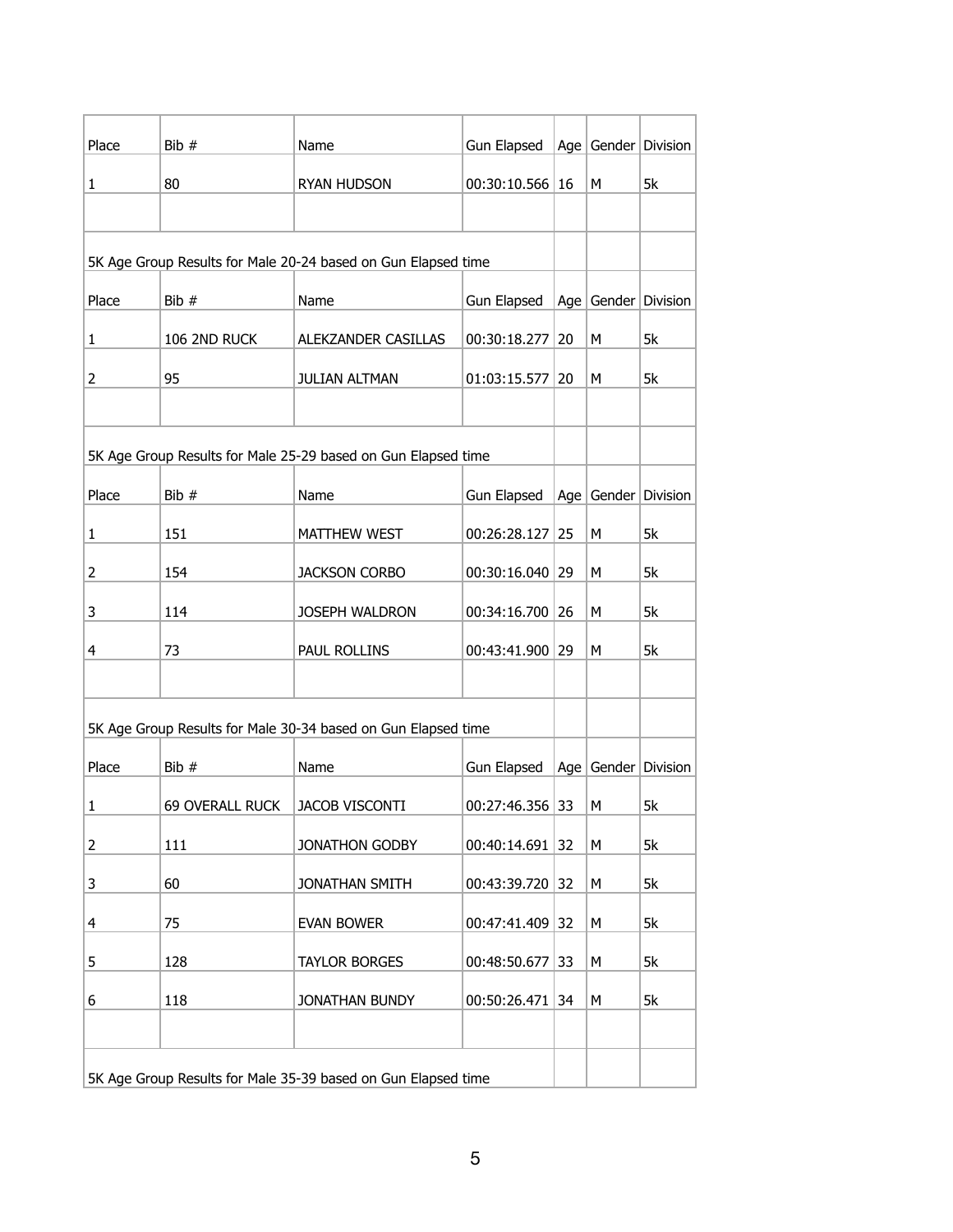| Place                                                         | Bib #           | Name                                                          | Gun Elapsed       |                 |   | Age   Gender   Division     |
|---------------------------------------------------------------|-----------------|---------------------------------------------------------------|-------------------|-----------------|---|-----------------------------|
| $\mathbf{1}$                                                  | 80              | RYAN HUDSON                                                   | 00:30:10.566 16   |                 | M | 5k                          |
|                                                               |                 |                                                               |                   |                 |   |                             |
|                                                               |                 |                                                               |                   |                 |   |                             |
|                                                               |                 | 5K Age Group Results for Male 20-24 based on Gun Elapsed time |                   |                 |   |                             |
| Place                                                         | Bib #           | Name                                                          | Gun Elapsed       |                 |   | Age $ $ Gender $ $ Division |
| $\mathbf{1}$                                                  | 106 2ND RUCK    | ALEKZANDER CASILLAS                                           | 00:30:18.277      | 20              | M | 5k                          |
| $\overline{2}$                                                | 95              | JULIAN ALTMAN                                                 | 01:03:15.577      | 20 <sub>2</sub> | М | 5k                          |
|                                                               |                 |                                                               |                   |                 |   |                             |
|                                                               |                 | 5K Age Group Results for Male 25-29 based on Gun Elapsed time |                   |                 |   |                             |
| Place                                                         | Bib #           | Name                                                          | Gun Elapsed       |                 |   | Age Gender Division         |
| $\mathbf{1}$                                                  | 151             | MATTHEW WEST                                                  | 00:26:28.127      | 25              | М | 5k                          |
| 2                                                             | 154             | <b>JACKSON CORBO</b>                                          | 00:30:16.040      | 29              | M | 5k                          |
| 3                                                             | 114             | JOSEPH WALDRON                                                | 00:34:16.700      | 26              | М | 5k                          |
| 4                                                             | 73              | PAUL ROLLINS                                                  | 00:43:41.900 29   |                 | M | 5k                          |
|                                                               |                 |                                                               |                   |                 |   |                             |
|                                                               |                 | 5K Age Group Results for Male 30-34 based on Gun Elapsed time |                   |                 |   |                             |
| Place                                                         | Bib #           | Name                                                          | Gun Elapsed       |                 |   | Age $ $ Gender $ $ Division |
| $\mathbf{1}$                                                  | 69 OVERALL RUCK | <b>JACOB VISCONTI</b>                                         | $00:27:46.356$ 33 |                 | М | 5k                          |
| 2                                                             | 111             | JONATHON GODBY                                                | 00:40:14.691      | 32              | М | 5k                          |
| 3                                                             | 60              | JONATHAN SMITH                                                | 00:43:39.720      | 32              | М | 5k                          |
| 4                                                             | 75              | <b>EVAN BOWER</b>                                             | 00:47:41.409      | 32              | М | 5k                          |
| 5                                                             | 128             | <b>TAYLOR BORGES</b>                                          | 00:48:50.677      | 33              | М | 5k                          |
| 6                                                             | 118             | JONATHAN BUNDY                                                | 00:50:26.471      | 34              | М | 5k                          |
|                                                               |                 |                                                               |                   |                 |   |                             |
| 5K Age Group Results for Male 35-39 based on Gun Elapsed time |                 |                                                               |                   |                 |   |                             |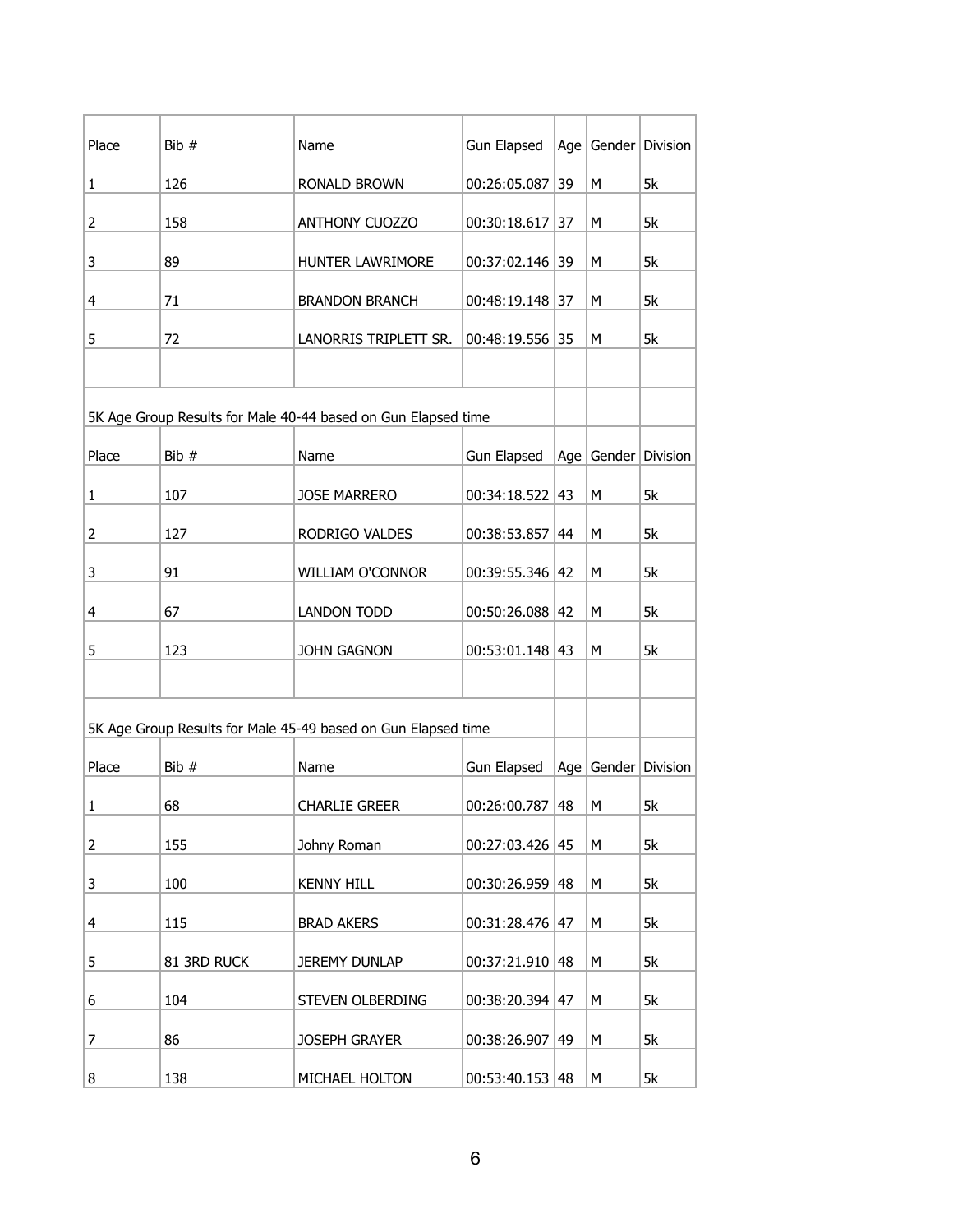| Place          | Bib #       | Name                                                          | Gun Elapsed         |    |   | Age   Gender   Division |
|----------------|-------------|---------------------------------------------------------------|---------------------|----|---|-------------------------|
| 1              | 126         | RONALD BROWN                                                  | 00:26:05.087        | 39 | M | 5k                      |
| 2              | 158         | <b>ANTHONY CUOZZO</b>                                         | 00:30:18.617        | 37 | М | 5k                      |
| 3              | 89          | HUNTER LAWRIMORE                                              | 00:37:02.146 39     |    | M | 5k                      |
|                |             |                                                               |                     |    |   |                         |
| 4              | 71          | <b>BRANDON BRANCH</b>                                         | 00:48:19.148 37     |    | M | 5k                      |
| 5              | 72          | LANORRIS TRIPLETT SR.                                         | 00:48:19.556 35     |    | M | 5k                      |
|                |             |                                                               |                     |    |   |                         |
|                |             | 5K Age Group Results for Male 40-44 based on Gun Elapsed time |                     |    |   |                         |
| Place          | Bib #       | Name                                                          | Gun Elapsed         |    |   | Age Gender Division     |
| $\mathbf{1}$   | 107         | <b>JOSE MARRERO</b>                                           | $00:34:18.522$ 43   |    | M | 5k                      |
| 2              | 127         | RODRIGO VALDES                                                | 00:38:53.857        | 44 | M | 5k                      |
| 3              | 91          | <b>WILLIAM O'CONNOR</b>                                       | 00:39:55.346 42     |    | M | 5k                      |
| 4              | 67          | LANDON TODD                                                   | $00:50:26.088$   42 |    | М | 5k                      |
| 5              | 123         | JOHN GAGNON                                                   | $00:53:01.148$ 43   |    | M | 5k                      |
|                |             |                                                               |                     |    |   |                         |
|                |             | 5K Age Group Results for Male 45-49 based on Gun Elapsed time |                     |    |   |                         |
|                | Bib #       | Name                                                          |                     |    |   | Age   Gender   Division |
| Place          |             |                                                               | Gun Elapsed         |    |   |                         |
| 1              | 68          | <b>CHARLIE GREER</b>                                          | $00:26:00.787$ 48   |    | М | 5k                      |
| $\overline{2}$ | 155         | Johny Roman                                                   | $00:27:03.426$ 45   |    | М | 5k                      |
| 3              | 100         | <b>KENNY HILL</b>                                             | $00:30:26.959$ 48   |    | М | 5k                      |
| 4              | 115         | <b>BRAD AKERS</b>                                             | $00:31:28.476$ 47   |    | М | 5k                      |
| 5              | 81 3RD RUCK | <b>JEREMY DUNLAP</b>                                          | $00:37:21.910$ 48   |    | М | 5k                      |
| 6              | 104         | STEVEN OLBERDING                                              | $00:38:20.394$   47 |    | М | 5k                      |
| 7              | 86          | JOSEPH GRAYER                                                 | 00:38:26.907        | 49 | М | 5k                      |
| 8              | 138         | MICHAEL HOLTON                                                | $00:53:40.153$  48  |    | М | 5k                      |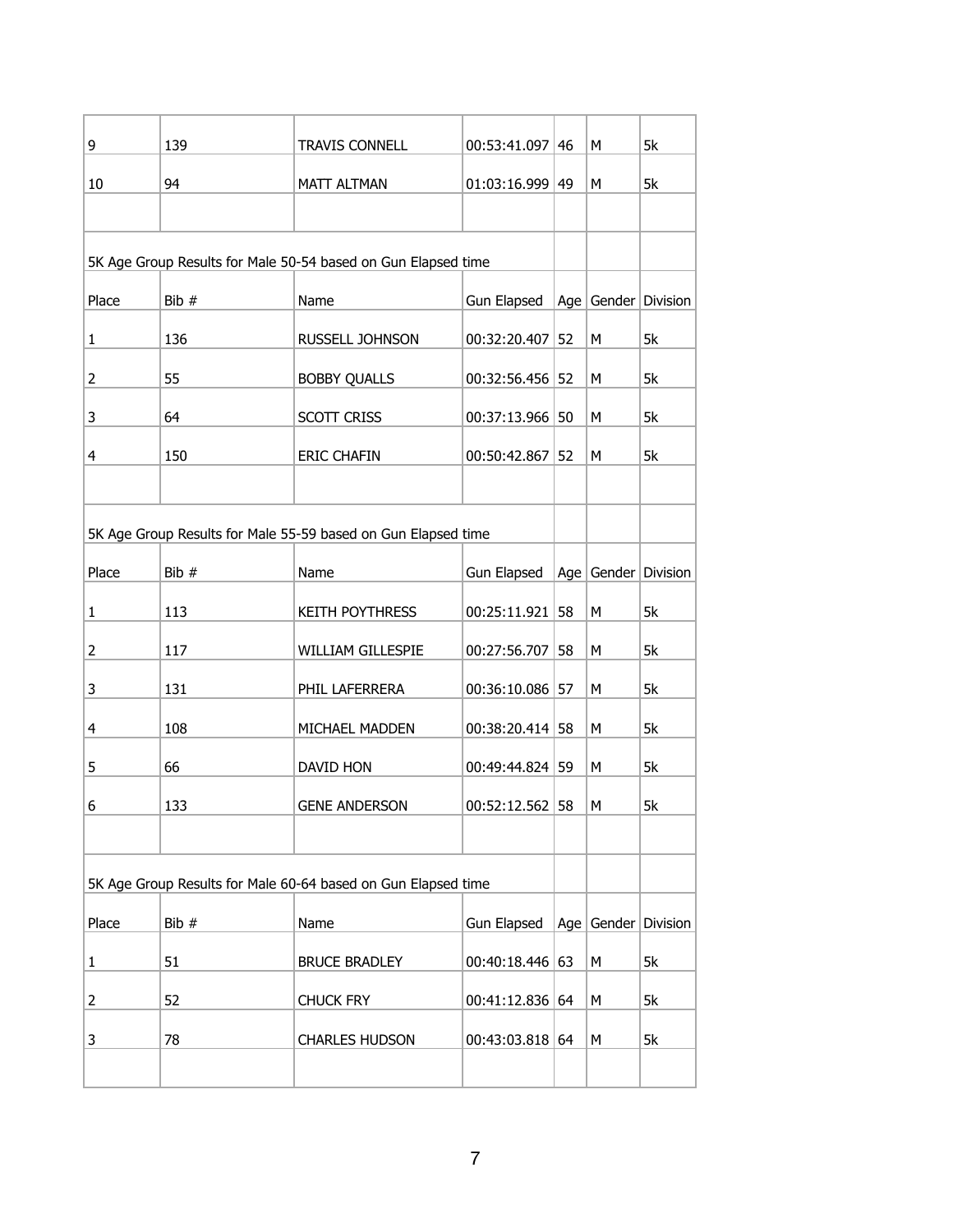| 9                                                             | 139   | <b>TRAVIS CONNELL</b>                                         | $00:53:41.097$ 46 |    | М | 5k                          |
|---------------------------------------------------------------|-------|---------------------------------------------------------------|-------------------|----|---|-----------------------------|
| 10                                                            | 94    | <b>MATT ALTMAN</b>                                            | $01:03:16.999$ 49 |    | M | 5k                          |
|                                                               |       |                                                               |                   |    |   |                             |
| 5K Age Group Results for Male 50-54 based on Gun Elapsed time |       |                                                               |                   |    |   |                             |
| Place                                                         | Bib # | Name                                                          | Gun Elapsed       |    |   | Age $ $ Gender $ $ Division |
| 1                                                             | 136   | RUSSELL JOHNSON                                               | 00:32:20.407      | 52 | М | 5k                          |
| 2                                                             | 55    | <b>BOBBY QUALLS</b>                                           | 00:32:56.456 52   |    | М | 5k                          |
| 3                                                             | 64    | <b>SCOTT CRISS</b>                                            | 00:37:13.966 50   |    | М | 5k                          |
| 4                                                             | 150   | <b>ERIC CHAFIN</b>                                            | 00:50:42.867      | 52 | M | 5k                          |
|                                                               |       |                                                               |                   |    |   |                             |
|                                                               |       | 5K Age Group Results for Male 55-59 based on Gun Elapsed time |                   |    |   |                             |
| Place                                                         | Bib # | Name                                                          | Gun Elapsed       |    |   | Age   Gender   Division     |
| 1                                                             | 113   | KEITH POYTHRESS                                               | $00:25:11.921$ 58 |    | М | 5k                          |
| 2                                                             | 117   | WILLIAM GILLESPIE                                             | 00:27:56.707      | 58 | М | 5k                          |
| 3                                                             | 131   | PHIL LAFERRERA                                                | 00:36:10.086 57   |    | М | 5k                          |
| 4                                                             | 108   | MICHAEL MADDEN                                                | $00:38:20.414$ 58 |    | М | 5k                          |
| 5                                                             | 66    | DAVID HON                                                     | 00:49:44.824 59   |    | М | 5k                          |
| 6                                                             | 133   | <b>GENE ANDERSON</b>                                          | $00:52:12.562$ 58 |    | M | 5k                          |
|                                                               |       |                                                               |                   |    |   |                             |
|                                                               |       | 5K Age Group Results for Male 60-64 based on Gun Elapsed time |                   |    |   |                             |
| Place                                                         | Bib # | Name                                                          | Gun Elapsed       |    |   | Age Gender Division         |
|                                                               |       |                                                               |                   |    |   |                             |
| 1                                                             | 51    | <b>BRUCE BRADLEY</b>                                          | $00:40:18.446$ 63 |    | М | 5k                          |
| 2                                                             | 52    | <b>CHUCK FRY</b>                                              | 00:41:12.836   64 |    | М | 5k                          |
| 3                                                             | 78    | <b>CHARLES HUDSON</b>                                         | $00:43:03.818$ 64 |    | М | 5k                          |
|                                                               |       |                                                               |                   |    |   |                             |